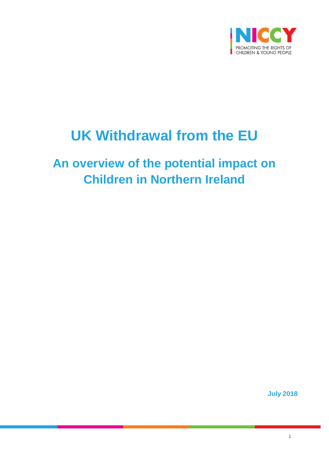

# **UK Withdrawal from the EU**

# **An overview of the potential impact on Children in Northern Ireland**

**July 2018**

1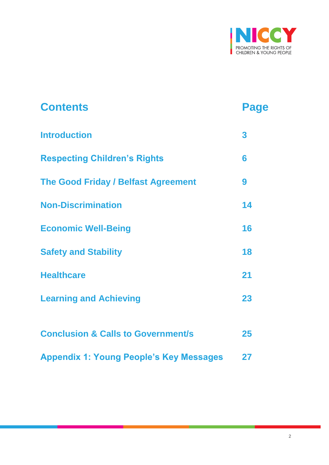

| <b>Contents</b>                                | Page |
|------------------------------------------------|------|
| <b>Introduction</b>                            | 3    |
| <b>Respecting Children's Rights</b>            | 6    |
| <b>The Good Friday / Belfast Agreement</b>     | 9    |
| <b>Non-Discrimination</b>                      | 14   |
| <b>Economic Well-Being</b>                     | 16   |
| <b>Safety and Stability</b>                    | 18   |
| <b>Healthcare</b>                              | 21   |
| <b>Learning and Achieving</b>                  | 23   |
|                                                |      |
| <b>Conclusion &amp; Calls to Government/s</b>  | 25   |
| <b>Appendix 1: Young People's Key Messages</b> | 27   |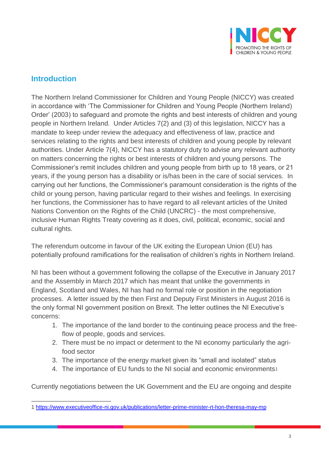

# **Introduction**

The Northern Ireland Commissioner for Children and Young People (NICCY) was created in accordance with 'The Commissioner for Children and Young People (Northern Ireland) Order' (2003) to safeguard and promote the rights and best interests of children and young people in Northern Ireland. Under Articles 7(2) and (3) of this legislation, NICCY has a mandate to keep under review the adequacy and effectiveness of law, practice and services relating to the rights and best interests of children and young people by relevant authorities. Under Article 7(4), NICCY has a statutory duty to advise any relevant authority on matters concerning the rights or best interests of children and young persons. The Commissioner's remit includes children and young people from birth up to 18 years, or 21 years, if the young person has a disability or is/has been in the care of social services. In carrying out her functions, the Commissioner's paramount consideration is the rights of the child or young person, having particular regard to their wishes and feelings. In exercising her functions, the Commissioner has to have regard to all relevant articles of the United Nations Convention on the Rights of the Child (UNCRC) - the most comprehensive, inclusive Human Rights Treaty covering as it does, civil, political, economic, social and cultural rights.

The referendum outcome in favour of the UK exiting the European Union (EU) has potentially profound ramifications for the realisation of children's rights in Northern Ireland.

NI has been without a government following the collapse of the Executive in January 2017 and the Assembly in March 2017 which has meant that unlike the governments in England, Scotland and Wales, NI has had no formal role or position in the negotiation processes. A letter issued by the then First and Deputy First Ministers in August 2016 is the only formal NI government position on Brexit. The letter outlines the NI Executive's concerns:

- 1. The importance of the land border to the continuing peace process and the freeflow of people, goods and services.
- 2. There must be no impact or determent to the NI economy particularly the agrifood sector
- 3. The importance of the energy market given its "small and isolated" status
- 4. The importance of EU funds to the NI social and economic environments<sup>1</sup>

Currently negotiations between the UK Government and the EU are ongoing and despite

 $\overline{a}$ 1 <https://www.executiveoffice-ni.gov.uk/publications/letter-prime-minister-rt-hon-theresa-may-mp>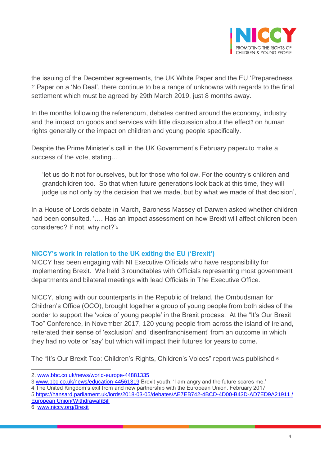

the issuing of the December agreements, the UK White Paper and the EU 'Preparedness 2' Paper on a 'No Deal', there continue to be a range of unknowns with regards to the final settlement which must be agreed by 29th March 2019, just 8 months away.

In the months following the referendum, debates centred around the economy, industry and the impact on goods and services with little discussion about the effect<sup>3</sup> on human rights generally or the impact on children and young people specifically.

Despite the Prime Minister's call in the UK Government's February paper4 to make a success of the vote, stating…

'let us do it not for ourselves, but for those who follow. For the country's children and grandchildren too. So that when future generations look back at this time, they will judge us not only by the decision that we made, but by what we made of that decision',

In a House of Lords debate in March, Baroness Massey of Darwen asked whether children had been consulted, '…. Has an impact assessment on how Brexit will affect children been considered? If not, why not?'<sup>5</sup>

#### **NICCY's work in relation to the UK exiting the EU ('Brexit')**

NICCY has been engaging with NI Executive Officials who have responsibility for implementing Brexit. We held 3 roundtables with Officials representing most government departments and bilateral meetings with lead Officials in The Executive Office.

NICCY, along with our counterparts in the Republic of Ireland, the Ombudsman for Children's Office (OCO), brought together a group of young people from both sides of the border to support the 'voice of young people' in the Brexit process. At the "It's Our Brexit Too" Conference, in November 2017, 120 young people from across the island of Ireland, reiterated their sense of 'exclusion' and 'disenfranchisement' from an outcome in which they had no vote or 'say' but which will impact their futures for years to come.

The "It's Our Brexit Too: Children's Rights, Children's Voices" report was published 6

6 [www.niccy.org/Brexit](http://www.niccy.org/Brexit) 

<sup>2.</sup> [www.bbc.co.uk/news/world-europe-44881335](http://www.bbc.co.uk/news/world-europe-44881335) 

<sup>3</sup> [www.bbc.co.uk/news/education-44561319](http://www.bbc.co.uk/news/education-44561319) Brexit youth: 'I am angry and the future scares me.'

<sup>4</sup> The United Kingdom's exit from and new partnership with the European Union. February 2017

<sup>5</sup> [https://hansard.parliament.uk/lords/2018-03-05/debates/AE7EB742-4BCD-4D00-B43D-AD7ED9A21911 /](https://hansard.parliament.uk/lords/2018-03-05/debates/AE7EB742-4BCD-4D00-B43D-AD7ED9A21911%20/%20European%20Union(Withdrawal)Bill)  [European Union\(Withdrawal\)Bill](https://hansard.parliament.uk/lords/2018-03-05/debates/AE7EB742-4BCD-4D00-B43D-AD7ED9A21911%20/%20European%20Union(Withdrawal)Bill)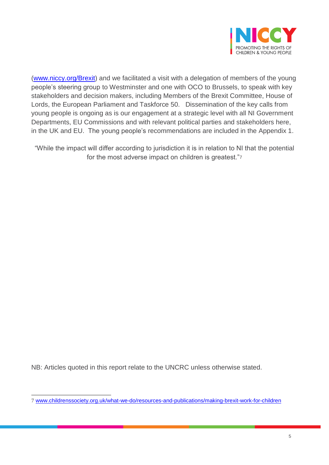

[\(www.niccy.org/Brexit\)](http://www.niccy.org/Brexit) and we facilitated a visit with a delegation of members of the young people's steering group to Westminster and one with OCO to Brussels, to speak with key stakeholders and decision makers, including Members of the Brexit Committee, House of Lords, the European Parliament and Taskforce 50. Dissemination of the key calls from young people is ongoing as is our engagement at a strategic level with all NI Government Departments, EU Commissions and with relevant political parties and stakeholders here, in the UK and EU. The young people's recommendations are included in the Appendix 1.

"While the impact will differ according to jurisdiction it is in relation to NI that the potential for the most adverse impact on children is greatest."<sup>7</sup>

NB: Articles quoted in this report relate to the UNCRC unless otherwise stated.

 $\overline{a}$ 7 [www.childrenssociety.org.uk/what-we-do/resources-and-publications/making-brexit-work-for-children](http://www.childrenssociety.org.uk/what-we-do/resources-and-publications/making-brexit-work-for-children)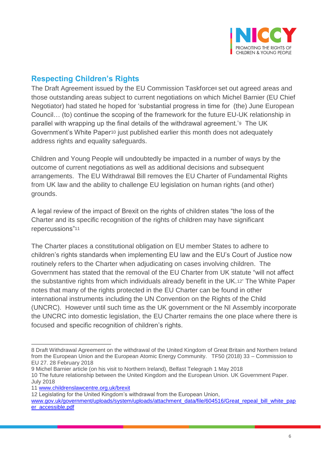

## **Respecting Children's Rights**

The Draft Agreement issued by the EU Commission Taskforce<sup>8</sup> set out agreed areas and those outstanding areas subject to current negotiations on which Michel Barnier (EU Chief Negotiator) had stated he hoped for 'substantial progress in time for (the) June European Council… (to) continue the scoping of the framework for the future EU-UK relationship in parallel with wrapping up the final details of the withdrawal agreement.'9 The UK Government's White Paper<sup>10</sup> just published earlier this month does not adequately address rights and equality safeguards.

Children and Young People will undoubtedly be impacted in a number of ways by the outcome of current negotiations as well as additional decisions and subsequent arrangements. The EU Withdrawal Bill removes the EU Charter of Fundamental Rights from UK law and the ability to challenge EU legislation on human rights (and other) grounds.

A legal review of the impact of Brexit on the rights of children states "the loss of the Charter and its specific recognition of the rights of children may have significant repercussions"<sup>11</sup>

The Charter places a constitutional obligation on EU member States to adhere to children's rights standards when implementing EU law and the EU's Court of Justice now routinely refers to the Charter when adjudicating on cases involving children. The Government has stated that the removal of the EU Charter from UK statute "will not affect the substantive rights from which individuals already benefit in the UK.12" The White Paper notes that many of the rights protected in the EU Charter can be found in other international instruments including the UN Convention on the Rights of the Child (UNCRC). However until such time as the UK government or the NI Assembly incorporate the UNCRC into domestic legislation, the EU Charter remains the one place where there is focused and specific recognition of children's rights.

July 2018

<sup>8</sup> Draft Withdrawal Agreement on the withdrawal of the United Kingdom of Great Britain and Northern Ireland from the European Union and the European Atomic Energy Community. TF50 (2018) 33 – Commission to EU 27. 28 February 2018

<sup>9</sup> Michel Barnier article (on his visit to Northern Ireland), Belfast Telegraph 1 May 2018 10 The future relationship between the United Kingdom and the European Union. UK Government Paper.

<sup>11</sup> [www.childrenslawcentre.org.uk/brexit](http://www.childrenslawcentre.org.uk/brexit)

<sup>12</sup> Legislating for the United Kingdom's withdrawal from the European Union,

[www.gov.uk/government/uploads/system/uploads/attachment\\_data/file/604516/Great\\_repeal\\_bill\\_white\\_pap](http://www.gov.uk/government/uploads/system/uploads/attachment_data/file/604516/Great_repeal_bill_white_paper_accessible.pdf) [er\\_accessible.pdf](http://www.gov.uk/government/uploads/system/uploads/attachment_data/file/604516/Great_repeal_bill_white_paper_accessible.pdf)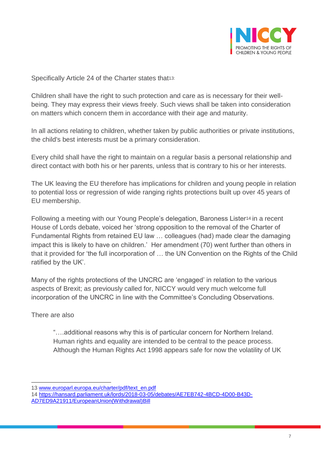

Specifically Article 24 of the Charter states that<sup>13:</sup>

Children shall have the right to such protection and care as is necessary for their wellbeing. They may express their views freely. Such views shall be taken into consideration on matters which concern them in accordance with their age and maturity.

In all actions relating to children, whether taken by public authorities or private institutions, the child's best interests must be a primary consideration.

Every child shall have the right to maintain on a regular basis a personal relationship and direct contact with both his or her parents, unless that is contrary to his or her interests.

The UK leaving the EU therefore has implications for children and young people in relation to potential loss or regression of wide ranging rights protections built up over 45 years of EU membership.

Following a meeting with our Young People's delegation, Baroness Lister<sup>14</sup> in a recent House of Lords debate, voiced her 'strong opposition to the removal of the Charter of Fundamental Rights from retained EU law … colleagues (had) made clear the damaging impact this is likely to have on children.' Her amendment (70) went further than others in that it provided for 'the full incorporation of … the UN Convention on the Rights of the Child ratified by the UK'.

Many of the rights protections of the UNCRC are 'engaged' in relation to the various aspects of Brexit; as previously called for, NICCY would very much welcome full incorporation of the UNCRC in line with the Committee's Concluding Observations.

There are also

 $\overline{a}$ 

"….additional reasons why this is of particular concern for Northern Ireland. Human rights and equality are intended to be central to the peace process. Although the Human Rights Act 1998 appears safe for now the volatility of UK

<sup>13</sup> [www.europarl.europa.eu/charter/pdf/text\\_en.pdf](http://www.europarl.europa.eu/charter/pdf/text_en.pdf)

<sup>14</sup> [https://hansard.parliament.uk/lords/2018-03-05/debates/AE7EB742-4BCD-4D00-B43D-](https://hansard.parliament.uk/lords/2018-03-05/debates/AE7EB742-4BCD-4D00-B43D-AD7ED9A21911/EuropeanUnion(Withdrawal)Bill)

[AD7ED9A21911/EuropeanUnion\(Withdrawal\)Bill](https://hansard.parliament.uk/lords/2018-03-05/debates/AE7EB742-4BCD-4D00-B43D-AD7ED9A21911/EuropeanUnion(Withdrawal)Bill)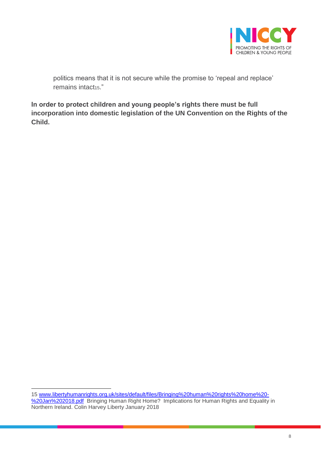

politics means that it is not secure while the promise to 'repeal and replace' remains intact<sub>15</sub>."

**In order to protect children and young people's rights there must be full incorporation into domestic legislation of the UN Convention on the Rights of the Child.**

 $\overline{a}$ 15 [www.libertyhumanrights.org.uk/sites/default/files/Bringing%20human%20rights%20home%20-](http://www.libertyhumanrights.org.uk/sites/default/files/Bringing%20human%20rights%20home%20-%20Jan%202018.pdf) [%20Jan%202018.pdf](http://www.libertyhumanrights.org.uk/sites/default/files/Bringing%20human%20rights%20home%20-%20Jan%202018.pdf) Bringing Human Right Home? Implications for Human Rights and Equality in Northern Ireland. Colin Harvey Liberty January 2018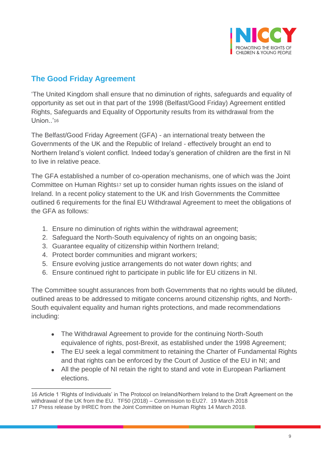

# **The Good Friday Agreement**

'The United Kingdom shall ensure that no diminution of rights, safeguards and equality of opportunity as set out in that part of the 1998 (Belfast/Good Friday) Agreement entitled Rights, Safeguards and Equality of Opportunity results from its withdrawal from the Union..'<sup>16</sup>

The Belfast/Good Friday Agreement (GFA) - an international treaty between the Governments of the UK and the Republic of Ireland - effectively brought an end to Northern Ireland's violent conflict. Indeed today's generation of children are the first in NI to live in relative peace.

The GFA established a number of co-operation mechanisms, one of which was the Joint Committee on Human Rights<sup>17</sup> set up to consider human rights issues on the island of Ireland. In a recent policy statement to the UK and Irish Governments the Committee outlined 6 requirements for the final EU Withdrawal Agreement to meet the obligations of the GFA as follows:

- 1. Ensure no diminution of rights within the withdrawal agreement;
- 2. Safeguard the North-South equivalency of rights on an ongoing basis;
- 3. Guarantee equality of citizenship within Northern Ireland;
- 4. Protect border communities and migrant workers;
- 5. Ensure evolving justice arrangements do not water down rights; and
- 6. Ensure continued right to participate in public life for EU citizens in NI.

The Committee sought assurances from both Governments that no rights would be diluted, outlined areas to be addressed to mitigate concerns around citizenship rights, and North-South equivalent equality and human rights protections, and made recommendations including:

- The Withdrawal Agreement to provide for the continuing North-South equivalence of rights, post-Brexit, as established under the 1998 Agreement;
- The EU seek a legal commitment to retaining the Charter of Fundamental Rights and that rights can be enforced by the Court of Justice of the EU in NI; and
- All the people of NI retain the right to stand and vote in European Parliament elections.

 $\overline{a}$ 16 Article 1 'Rights of Individuals' in The Protocol on Ireland/Northern Ireland to the Draft Agreement on the withdrawal of the UK from the EU. TF50 (2018) – Commission to EU27. 19 March 2018 17 Press release by IHREC from the Joint Committee on Human Rights 14 March 2018.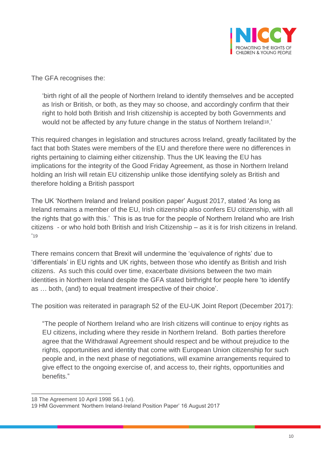

The GFA recognises the:

'birth right of all the people of Northern Ireland to identify themselves and be accepted as Irish or British, or both, as they may so choose, and accordingly confirm that their right to hold both British and Irish citizenship is accepted by both Governments and would not be affected by any future change in the status of Northern Ireland18.'

This required changes in legislation and structures across Ireland, greatly facilitated by the fact that both States were members of the EU and therefore there were no differences in rights pertaining to claiming either citizenship. Thus the UK leaving the EU has implications for the integrity of the Good Friday Agreement, as those in Northern Ireland holding an Irish will retain EU citizenship unlike those identifying solely as British and therefore holding a British passport

The UK 'Northern Ireland and Ireland position paper' August 2017, stated 'As long as Ireland remains a member of the EU, Irish citizenship also confers EU citizenship, with all the rights that go with this.' This is as true for the people of Northern Ireland who are Irish citizens - or who hold both British and Irish Citizenship – as it is for Irish citizens in Ireland. '19

There remains concern that Brexit will undermine the 'equivalence of rights' due to 'differentials' in EU rights and UK rights, between those who identify as British and Irish citizens. As such this could over time, exacerbate divisions between the two main identities in Northern Ireland despite the GFA stated birthright for people here 'to identify as … both, (and) to equal treatment irrespective of their choice'.

The position was reiterated in paragraph 52 of the EU-UK Joint Report (December 2017):

"The people of Northern Ireland who are Irish citizens will continue to enjoy rights as EU citizens, including where they reside in Northern Ireland. Both parties therefore agree that the Withdrawal Agreement should respect and be without prejudice to the rights, opportunities and identity that come with European Union citizenship for such people and, in the next phase of negotiations, will examine arrangements required to give effect to the ongoing exercise of, and access to, their rights, opportunities and benefits."

 $\overline{a}$ 18 The Agreement 10 April 1998 S6.1 (vi).

<sup>19</sup> HM Government 'Northern Ireland-Ireland Position Paper' 16 August 2017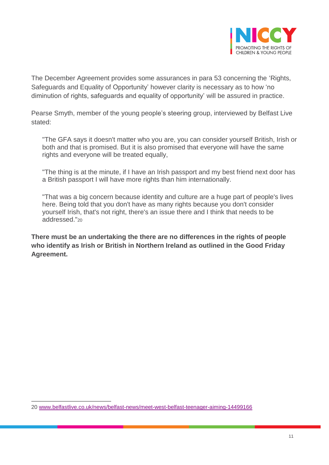

The December Agreement provides some assurances in para 53 concerning the 'Rights, Safeguards and Equality of Opportunity' however clarity is necessary as to how 'no diminution of rights, safeguards and equality of opportunity' will be assured in practice.

Pearse Smyth, member of the young people's steering group, interviewed by Belfast Live stated:

"The GFA says it doesn't matter who you are, you can consider yourself British, Irish or both and that is promised. But it is also promised that everyone will have the same rights and everyone will be treated equally,

"The thing is at the minute, if I have an Irish passport and my best friend next door has a British passport I will have more rights than him internationally.

"That was a big concern because identity and culture are a huge part of people's lives here. Being told that you don't have as many rights because you don't consider yourself Irish, that's not right, there's an issue there and I think that needs to be addressed."20

**There must be an undertaking the there are no differences in the rights of people who identify as Irish or British in Northern Ireland as outlined in the Good Friday Agreement.**

<sup>20</sup> [www.belfastlive.co.uk/news/belfast-news/meet-west-belfast-teenager-aiming-14499166](http://www.belfastlive.co.uk/news/belfast-news/meet-west-belfast-teenager-aiming-14499166)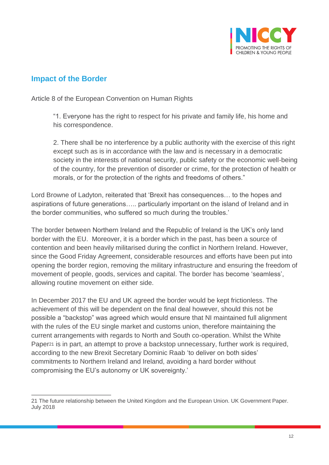

### **Impact of the Border**

 $\overline{a}$ 

Article 8 of the European Convention on Human Rights

"1. Everyone has the right to respect for his private and family life, his home and his correspondence.

2. There shall be no interference by a public authority with the exercise of this right except such as is in accordance with the law and is necessary in a democratic society in the interests of national security, public safety or the economic well-being of the country, for the prevention of disorder or crime, for the protection of health or morals, or for the protection of the rights and freedoms of others."

Lord Browne of Ladyton, reiterated that 'Brexit has consequences… to the hopes and aspirations of future generations….. particularly important on the island of Ireland and in the border communities, who suffered so much during the troubles.'

The border between Northern Ireland and the Republic of Ireland is the UK's only land border with the EU. Moreover, it is a border which in the past, has been a source of contention and been heavily militarised during the conflict in Northern Ireland. However, since the Good Friday Agreement, considerable resources and efforts have been put into opening the border region, removing the military infrastructure and ensuring the freedom of movement of people, goods, services and capital. The border has become 'seamless', allowing routine movement on either side.

In December 2017 the EU and UK agreed the border would be kept frictionless. The achievement of this will be dependent on the final deal however, should this not be possible a "backstop" was agreed which would ensure that NI maintained full alignment with the rules of the EU single market and customs union, therefore maintaining the current arrangements with regards to North and South co-operation. Whilst the White Paper<sup>21</sup> is in part, an attempt to prove a backstop unnecessary, further work is required, according to the new Brexit Secretary Dominic Raab 'to deliver on both sides' commitments to Northern Ireland and Ireland, avoiding a hard border without compromising the EU's autonomy or UK sovereignty.'

<sup>21</sup> The future relationship between the United Kingdom and the European Union. UK Government Paper. July 2018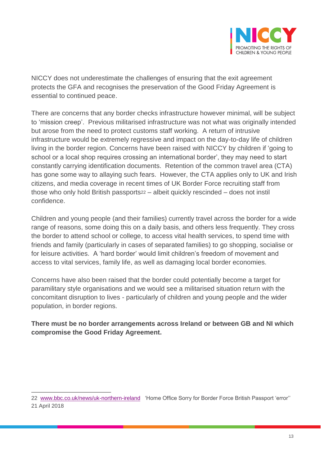

NICCY does not underestimate the challenges of ensuring that the exit agreement protects the GFA and recognises the preservation of the Good Friday Agreement is essential to continued peace.

There are concerns that any border checks infrastructure however minimal, will be subject to 'mission creep'. Previous militarised infrastructure was not what was originally intended but arose from the need to protect customs staff working. A return of intrusive infrastructure would be extremely regressive and impact on the day-to-day life of children living in the border region. Concerns have been raised with NICCY by children if 'going to school or a local shop requires crossing an international border', they may need to start constantly carrying identification documents. Retention of the common travel area (CTA) has gone some way to allaying such fears. However, the CTA applies only to UK and Irish citizens, and media coverage in recent times of UK Border Force recruiting staff from those who only hold British passports<sup>22</sup> – albeit quickly rescinded – does not instil confidence.

Children and young people (and their families) currently travel across the border for a wide range of reasons, some doing this on a daily basis, and others less frequently. They cross the border to attend school or college, to access vital health services, to spend time with friends and family (particularly in cases of separated families) to go shopping, socialise or for leisure activities. A 'hard border' would limit children's freedom of movement and access to vital services, family life, as well as damaging local border economies.

Concerns have also been raised that the border could potentially become a target for paramilitary style organisations and we would see a militarised situation return with the concomitant disruption to lives - particularly of children and young people and the wider population, in border regions.

#### **There must be no border arrangements across Ireland or between GB and NI which compromise the Good Friday Agreement.**

<sup>22</sup> [www.bbc.co.uk/news/uk-northern-ireland](http://www.bbc.co.uk/news/uk-northern-ireland) 'Home Office Sorry for Border Force British Passport 'error''

<sup>21</sup> April 2018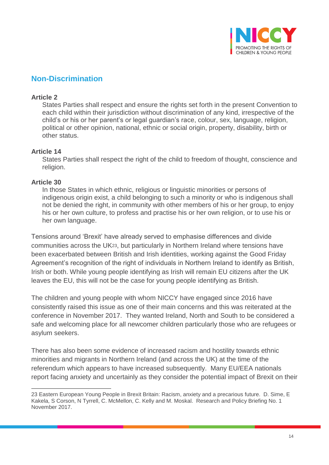

### **Non-Discrimination**

#### **Article 2**

States Parties shall respect and ensure the rights set forth in the present Convention to each child within their jurisdiction without discrimination of any kind, irrespective of the child's or his or her parent's or legal guardian's race, colour, sex, language, religion, political or other opinion, national, ethnic or social origin, property, disability, birth or other status.

#### **Article 14**

States Parties shall respect the right of the child to freedom of thought, conscience and religion.

#### **Article 30**

 $\overline{a}$ 

In those States in which ethnic, religious or linguistic minorities or persons of indigenous origin exist, a child belonging to such a minority or who is indigenous shall not be denied the right, in community with other members of his or her group, to enjoy his or her own culture, to profess and practise his or her own religion, or to use his or her own language.

Tensions around 'Brexit' have already served to emphasise differences and divide communities across the UK23, but particularly in Northern Ireland where tensions have been exacerbated between British and Irish identities, working against the Good Friday Agreement's recognition of the right of individuals in Northern Ireland to identify as British, Irish or both. While young people identifying as Irish will remain EU citizens after the UK leaves the EU, this will not be the case for young people identifying as British.

The children and young people with whom NICCY have engaged since 2016 have consistently raised this issue as one of their main concerns and this was reiterated at the conference in November 2017. They wanted Ireland, North and South to be considered a safe and welcoming place for all newcomer children particularly those who are refugees or asylum seekers.

There has also been some evidence of increased racism and hostility towards ethnic minorities and migrants in Northern Ireland (and across the UK) at the time of the referendum which appears to have increased subsequently. Many EU/EEA nationals report facing anxiety and uncertainly as they consider the potential impact of Brexit on their

<sup>23</sup> Eastern European Young People in Brexit Britain: Racism, anxiety and a precarious future. D. Sime, E Kakela, S Corson, N Tyrrell, C. McMellon, C. Kelly and M. Moskal. Research and Policy Briefing No. 1 November 2017.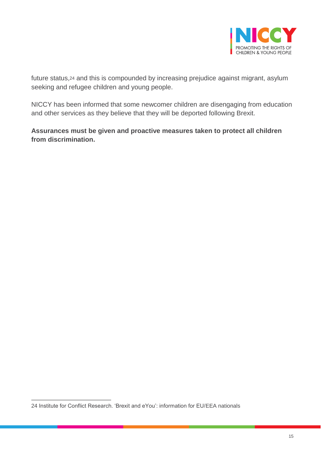

future status,<sup>24</sup> and this is compounded by increasing prejudice against migrant, asylum seeking and refugee children and young people.

NICCY has been informed that some newcomer children are disengaging from education and other services as they believe that they will be deported following Brexit.

**Assurances must be given and proactive measures taken to protect all children from discrimination.** 

 $\overline{a}$ 24 Institute for Conflict Research. 'Brexit and eYou': information for EU/EEA nationals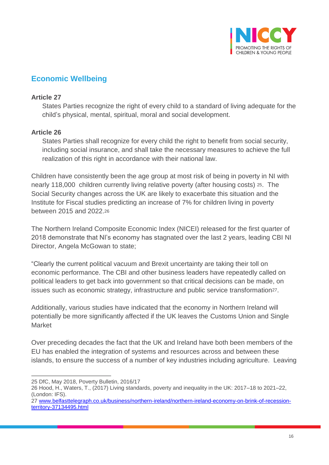

# **Economic Wellbeing**

#### **Article 27**

States Parties recognize the right of every child to a standard of living adequate for the child's physical, mental, spiritual, moral and social development.

#### **Article 26**

States Parties shall recognize for every child the right to benefit from social security, including social insurance, and shall take the necessary measures to achieve the full realization of this right in accordance with their national law.

Children have consistently been the age group at most risk of being in poverty in NI with nearly 118,000 children currently living relative poverty (after housing costs) 25. The Social Security changes across the UK are likely to exacerbate this situation and the Institute for Fiscal studies predicting an increase of 7% for children living in poverty between 2015 and 2022.<sup>26</sup>

The Northern Ireland Composite Economic Index (NICEI) released for the first quarter of 2018 demonstrate that NI's economy has stagnated over the last 2 years, leading CBI NI Director, Angela McGowan to state;

"Clearly the current political vacuum and Brexit uncertainty are taking their toll on economic performance. The CBI and other business leaders have repeatedly called on political leaders to get back into government so that critical decisions can be made, on issues such as economic strategy, infrastructure and public service transformation27.

Additionally, various studies have indicated that the economy in Northern Ireland will potentially be more significantly affected if the UK leaves the Customs Union and Single Market

Over preceding decades the fact that the UK and Ireland have both been members of the EU has enabled the integration of systems and resources across and between these islands, to ensure the success of a number of key industries including agriculture. Leaving

 $\overline{a}$ 25 DfC, May 2018, Poverty Bulletin, 2016/17

<sup>26</sup> Hood, H., Waters, T., (2017) Living standards, poverty and inequality in the UK: 2017–18 to 2021–22, (London: IFS).

<sup>27</sup> [www.belfasttelegraph.co.uk/business/northern-ireland/northern-ireland-economy-on-brink-of-recession](http://www.belfasttelegraph.co.uk/business/northern-ireland/northern-ireland-economy-on-brink-of-recession-territory-37134495.html)[territory-37134495.html](http://www.belfasttelegraph.co.uk/business/northern-ireland/northern-ireland-economy-on-brink-of-recession-territory-37134495.html)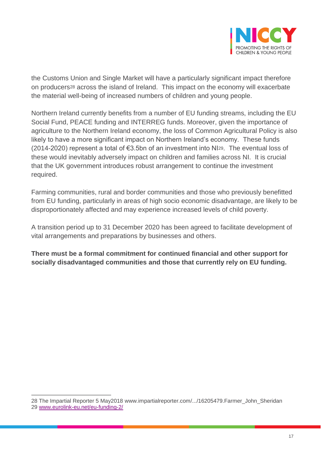

the Customs Union and Single Market will have a particularly significant impact therefore on producers<sup>28</sup> across the island of Ireland. This impact on the economy will exacerbate the material well-being of increased numbers of children and young people.

Northern Ireland currently benefits from a number of EU funding streams, including the EU Social Fund, PEACE funding and INTERREG funds. Moreover, given the importance of agriculture to the Northern Ireland economy, the loss of Common Agricultural Policy is also likely to have a more significant impact on Northern Ireland's economy. These funds (2014-2020) represent a total of €3.5bn of an investment into NI29. The eventual loss of these would inevitably adversely impact on children and families across NI. It is crucial that the UK government introduces robust arrangement to continue the investment required.

Farming communities, rural and border communities and those who previously benefitted from EU funding, particularly in areas of high socio economic disadvantage, are likely to be disproportionately affected and may experience increased levels of child poverty.

A transition period up to 31 December 2020 has been agreed to facilitate development of vital arrangements and preparations by businesses and others.

**There must be a formal commitment for continued financial and other support for socially disadvantaged communities and those that currently rely on EU funding.** 

<sup>28</sup> The Impartial Reporter 5 May2018 [www.impartialreporter.com/.../16205479.Farmer\\_John\\_Sheridan](http://www.impartialreporter.com/.../16205479.Farmer_John_Sheridan) 29 [www.eurolink-eu.net/eu-funding-2/](http://www.eurolink-eu.net/eu-funding-2/)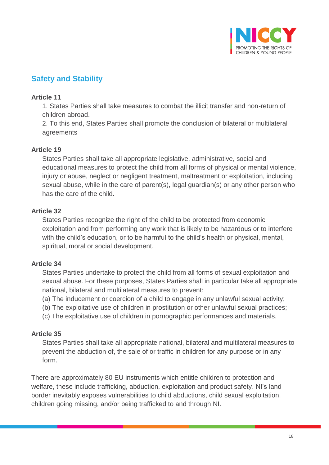

# **Safety and Stability**

#### **Article 11**

1. States Parties shall take measures to combat the illicit transfer and non-return of children abroad.

2. To this end, States Parties shall promote the conclusion of bilateral or multilateral agreements

#### **Article 19**

States Parties shall take all appropriate legislative, administrative, social and educational measures to protect the child from all forms of physical or mental violence, injury or abuse, neglect or negligent treatment, maltreatment or exploitation, including sexual abuse, while in the care of parent(s), legal guardian(s) or any other person who has the care of the child.

#### **Article 32**

States Parties recognize the right of the child to be protected from economic exploitation and from performing any work that is likely to be hazardous or to interfere with the child's education, or to be harmful to the child's health or physical, mental, spiritual, moral or social development.

#### **Article 34**

States Parties undertake to protect the child from all forms of sexual exploitation and sexual abuse. For these purposes, States Parties shall in particular take all appropriate national, bilateral and multilateral measures to prevent:

- (a) The inducement or coercion of a child to engage in any unlawful sexual activity;
- (b) The exploitative use of children in prostitution or other unlawful sexual practices;
- (c) The exploitative use of children in pornographic performances and materials.

#### **Article 35**

States Parties shall take all appropriate national, bilateral and multilateral measures to prevent the abduction of, the sale of or traffic in children for any purpose or in any form.

There are approximately 80 EU instruments which entitle children to protection and welfare, these include trafficking, abduction, exploitation and product safety. NI's land border inevitably exposes vulnerabilities to child abductions, child sexual exploitation, children going missing, and/or being trafficked to and through NI.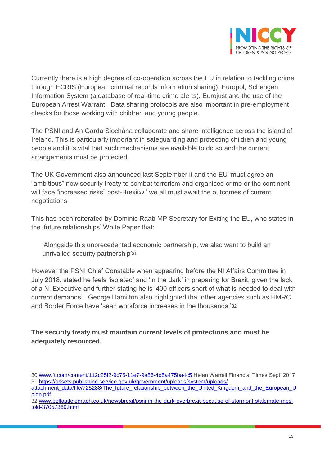

Currently there is a high degree of co-operation across the EU in relation to tackling crime through ECRIS (European criminal records information sharing), Europol, Schengen Information System (a database of real-time crime alerts), Eurojust and the use of the European Arrest Warrant. Data sharing protocols are also important in pre-employment checks for those working with children and young people.

The PSNI and An Garda Siochána collaborate and share intelligence across the island of Ireland. This is particularly important in safeguarding and protecting children and young people and it is vital that such mechanisms are available to do so and the current arrangements must be protected.

The UK Government also announced last September it and the EU 'must agree an "ambitious" new security treaty to combat terrorism and organised crime or the continent will face "increased risks" post-Brexit<sup>30</sup>.' we all must await the outcomes of current negotiations.

This has been reiterated by Dominic Raab MP Secretary for Exiting the EU, who states in the 'future relationships' White Paper that:

'Alongside this unprecedented economic partnership, we also want to build an unrivalled security partnership'<sup>31</sup>

However the PSNI Chief Constable when appearing before the NI Affairs Committee in July 2018, stated he feels 'isolated' and 'in the dark' in preparing for Brexit, given the lack of a NI Executive and further stating he is '400 officers short of what is needed to deal with current demands'. George Hamilton also highlighted that other agencies such as HMRC and Border Force have 'seen workforce increases in the thousands.'<sup>32</sup>

**The security treaty must maintain current levels of protections and must be adequately resourced.**

 $\overline{a}$ 30 [www.ft.com/content/112c25f2-9c75-11e7-9a86-4d5a475ba4c5](http://www.ft.com/content/112c25f2-9c75-11e7-9a86-4d5a475ba4c5) Helen Warrell Financial Times Sept' 2017 31 [https://assets.publishing.service.gov.uk/government/uploads/system/uploads/](https://assets.publishing.service.gov.uk/government/uploads/system/uploads/%20%20attachment_data/file/725288/The_future_relationship_between_the_United_Kingdom_and_the_European_Union.pdf) 

[attachment\\_data/file/725288/The\\_future\\_relationship\\_between\\_the\\_United\\_Kingdom\\_and\\_the\\_European\\_U](https://assets.publishing.service.gov.uk/government/uploads/system/uploads/%20%20attachment_data/file/725288/The_future_relationship_between_the_United_Kingdom_and_the_European_Union.pdf) [nion.pdf](https://assets.publishing.service.gov.uk/government/uploads/system/uploads/%20%20attachment_data/file/725288/The_future_relationship_between_the_United_Kingdom_and_the_European_Union.pdf)

<sup>32</sup> [www.belfasttelegraph.co.uk/newsbrexit/psni-in-the-dark-overbrexit-because-of-stormont-stalemate-mps](http://www.belfasttelegraph.co.uk/newsbrexit/psni-in-the-dark-overbrexit-because-of-stormont-stalemate-mps-told-37057369.html)[told-37057369.html](http://www.belfasttelegraph.co.uk/newsbrexit/psni-in-the-dark-overbrexit-because-of-stormont-stalemate-mps-told-37057369.html)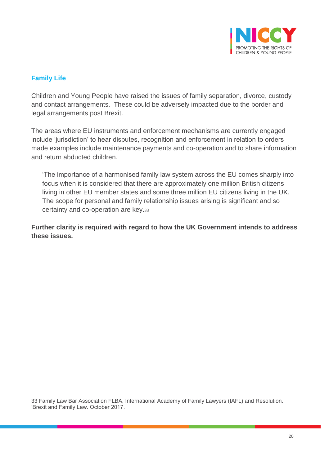

#### **Family Life**

 $\overline{a}$ 

Children and Young People have raised the issues of family separation, divorce, custody and contact arrangements. These could be adversely impacted due to the border and legal arrangements post Brexit.

The areas where EU instruments and enforcement mechanisms are currently engaged include 'jurisdiction' to hear disputes, recognition and enforcement in relation to orders made examples include maintenance payments and co-operation and to share information and return abducted children.

'The importance of a harmonised family law system across the EU comes sharply into focus when it is considered that there are approximately one million British citizens living in other EU member states and some three million EU citizens living in the UK. The scope for personal and family relationship issues arising is significant and so certainty and co-operation are key.<sup>33</sup>

**Further clarity is required with regard to how the UK Government intends to address these issues.**

<sup>33</sup> Family Law Bar Association FLBA, International Academy of Family Lawyers (IAFL) and Resolution. 'Brexit and Family Law. October 2017.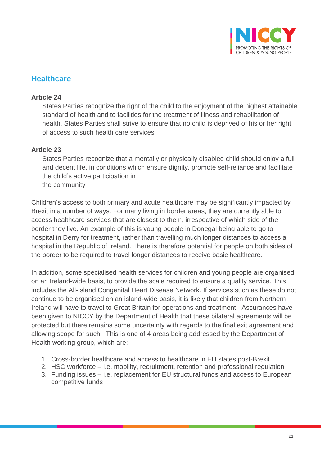

#### **Healthcare**

#### **Article 24**

States Parties recognize the right of the child to the enjoyment of the highest attainable standard of health and to facilities for the treatment of illness and rehabilitation of health. States Parties shall strive to ensure that no child is deprived of his or her right of access to such health care services.

#### **Article 23**

States Parties recognize that a mentally or physically disabled child should enjoy a full and decent life, in conditions which ensure dignity, promote self-reliance and facilitate the child's active participation in the community

Children's access to both primary and acute healthcare may be significantly impacted by Brexit in a number of ways. For many living in border areas, they are currently able to access healthcare services that are closest to them, irrespective of which side of the border they live. An example of this is young people in Donegal being able to go to hospital in Derry for treatment, rather than travelling much longer distances to access a hospital in the Republic of Ireland. There is therefore potential for people on both sides of the border to be required to travel longer distances to receive basic healthcare.

In addition, some specialised health services for children and young people are organised on an Ireland-wide basis, to provide the scale required to ensure a quality service. This includes the All-Island Congenital Heart Disease Network. If services such as these do not continue to be organised on an island-wide basis, it is likely that children from Northern Ireland will have to travel to Great Britain for operations and treatment. Assurances have been given to NICCY by the Department of Health that these bilateral agreements will be protected but there remains some uncertainty with regards to the final exit agreement and allowing scope for such. This is one of 4 areas being addressed by the Department of Health working group, which are:

- 1. Cross-border healthcare and access to healthcare in EU states post-Brexit
- 2. HSC workforce i.e. mobility, recruitment, retention and professional regulation
- 3. Funding issues i.e. replacement for EU structural funds and access to European competitive funds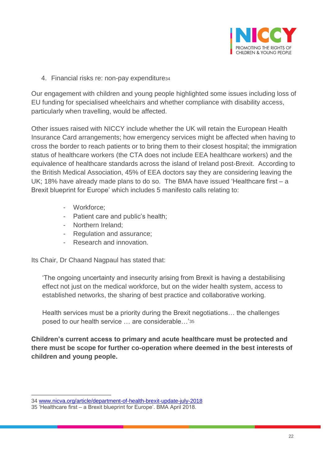

4. Financial risks re: non-pay expenditure<sup>34</sup>

Our engagement with children and young people highlighted some issues including loss of EU funding for specialised wheelchairs and whether compliance with disability access, particularly when travelling, would be affected.

Other issues raised with NICCY include whether the UK will retain the European Health Insurance Card arrangements; how emergency services might be affected when having to cross the border to reach patients or to bring them to their closest hospital; the immigration status of healthcare workers (the CTA does not include EEA healthcare workers) and the equivalence of healthcare standards across the island of Ireland post-Brexit. According to the British Medical Association, 45% of EEA doctors say they are considering leaving the UK; 18% have already made plans to do so. The BMA have issued 'Healthcare first – a Brexit blueprint for Europe' which includes 5 manifesto calls relating to:

- Workforce;
- Patient care and public's health;
- Northern Ireland;
- Regulation and assurance;
- Research and innovation.

Its Chair, Dr Chaand Nagpaul has stated that:

'The ongoing uncertainty and insecurity arising from Brexit is having a destabilising effect not just on the medical workforce, but on the wider health system, access to established networks, the sharing of best practice and collaborative working.

Health services must be a priority during the Brexit negotiations… the challenges posed to our health service … are considerable…'<sup>35</sup>

**Children's current access to primary and acute healthcare must be protected and there must be scope for further co-operation where deemed in the best interests of children and young people.** 

<sup>34</sup> [www.nicva.org/article/department-of-health-brexit-update-july-2018](http://www.nicva.org/article/department-of-health-brexit-update-july-2018)

<sup>35</sup> 'Healthcare first – a Brexit blueprint for Europe'. BMA April 2018.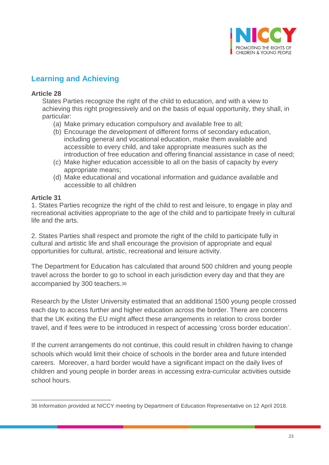

# **Learning and Achieving**

#### **Article 28**

States Parties recognize the right of the child to education, and with a view to achieving this right progressively and on the basis of equal opportunity, they shall, in particular:

- (a) Make primary education compulsory and available free to all;
- (b) Encourage the development of different forms of secondary education, including general and vocational education, make them available and accessible to every child, and take appropriate measures such as the introduction of free education and offering financial assistance in case of need;
- (c) Make higher education accessible to all on the basis of capacity by every appropriate means;
- (d) Make educational and vocational information and guidance available and accessible to all children

#### **Article 31**

1. States Parties recognize the right of the child to rest and leisure, to engage in play and recreational activities appropriate to the age of the child and to participate freely in cultural life and the arts.

2. States Parties shall respect and promote the right of the child to participate fully in cultural and artistic life and shall encourage the provision of appropriate and equal opportunities for cultural, artistic, recreational and leisure activity.

The Department for Education has calculated that around 500 children and young people travel across the border to go to school in each jurisdiction every day and that they are accompanied by 300 teachers.<sup>36</sup>

Research by the Ulster University estimated that an additional 1500 young people crossed each day to access further and higher education across the border. There are concerns that the UK exiting the EU might affect these arrangements in relation to cross border travel, and if fees were to be introduced in respect of accessing 'cross border education'.

If the current arrangements do not continue, this could result in children having to change schools which would limit their choice of schools in the border area and future intended careers. Moreover, a hard border would have a significant impact on the daily lives of children and young people in border areas in accessing extra-curricular activities outside school hours.

 $\overline{a}$ 36 Information provided at NICCY meeting by Department of Education Representative on 12 April 2018.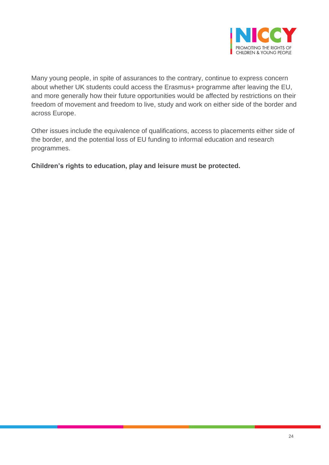

Many young people, in spite of assurances to the contrary, continue to express concern about whether UK students could access the Erasmus+ programme after leaving the EU, and more generally how their future opportunities would be affected by restrictions on their freedom of movement and freedom to live, study and work on either side of the border and across Europe.

Other issues include the equivalence of qualifications, access to placements either side of the border, and the potential loss of EU funding to informal education and research programmes.

**Children's rights to education, play and leisure must be protected.**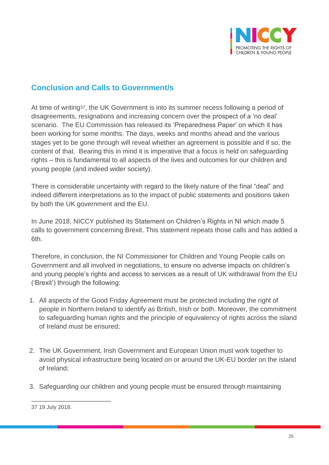

## **Conclusion and Calls to Government/s**

At time of writing37, the UK Government is into its summer recess following a period of disagreements, resignations and increasing concern over the prospect of a 'no deal' scenario. The EU Commission has released its 'Preparedness Paper' on which it has been working for some months. The days, weeks and months ahead and the various stages yet to be gone through will reveal whether an agreement is possible and if so, the content of that. Bearing this in mind it is imperative that a focus is held on safeguarding rights – this is fundamental to all aspects of the lives and outcomes for our children and young people (and indeed wider society).

There is considerable uncertainty with regard to the likely nature of the final "deal" and indeed different interpretations as to the impact of public statements and positions taken by both the UK government and the EU.

In June 2018, NICCY published its Statement on Children's Rights in NI which made 5 calls to government concerning Brexit. This statement repeats those calls and has added a 6th.

Therefore, in conclusion, the NI Commissioner for Children and Young People calls on Government and all involved in negotiations, to ensure no adverse impacts on children's and young people's rights and access to services as a result of UK withdrawal from the EU ('Brexit') through the following:

- 1. All aspects of the Good Friday Agreement must be protected including the right of people in Northern Ireland to identify as British, Irish or both. Moreover, the commitment to safeguarding human rights and the principle of equivalency of rights across the island of Ireland must be ensured;
- 2. The UK Government, Irish Government and European Union must work together to avoid physical infrastructure being located on or around the UK-EU border on the island of Ireland;
- 3. Safeguarding our children and young people must be ensured through maintaining

<sup>37</sup> 19 July 2018.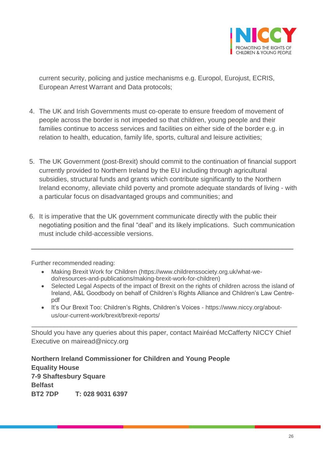

current security, policing and justice mechanisms e.g. Europol, Eurojust, ECRIS, European Arrest Warrant and Data protocols;

- 4. The UK and Irish Governments must co-operate to ensure freedom of movement of people across the border is not impeded so that children, young people and their families continue to access services and facilities on either side of the border e.g. in relation to health, education, family life, sports, cultural and leisure activities;
- 5. The UK Government (post-Brexit) should commit to the continuation of financial support currently provided to Northern Ireland by the EU including through agricultural subsidies, structural funds and grants which contribute significantly to the Northern Ireland economy, alleviate child poverty and promote adequate standards of living - with a particular focus on disadvantaged groups and communities; and
- 6. It is imperative that the UK government communicate directly with the public their negotiating position and the final "deal" and its likely implications. Such communication must include child-accessible versions.

\_\_\_\_\_\_\_\_\_\_\_\_\_\_\_\_\_\_\_\_\_\_\_\_\_\_\_\_\_\_\_\_\_\_\_\_\_\_\_\_\_\_\_\_\_\_\_\_\_\_\_\_\_\_\_\_\_\_\_\_\_\_\_\_\_\_\_\_\_\_\_

Further recommended reading:

- Making Brexit Work for Children [\(https://www.childrenssociety.org.uk/what-we](https://www.childrenssociety.org.uk/what-we-do/resources-and-publications/making-brexit-work-for-children)[do/resources-and-publications/making-brexit-work-for-children\)](https://www.childrenssociety.org.uk/what-we-do/resources-and-publications/making-brexit-work-for-children)
- Selected Legal Aspects of the impact of Brexit on the rights of children across the island of Ireland, A&L Goodbody on behalf of Children's Rights Alliance and Children's Law Centrepdf
- It's Our Brexit Too: Children's Rights, Children's Voices [https://www.niccy.org/about](https://www.niccy.org/about-us/our-current-work/brexit/brexit-reports/)[us/our-current-work/brexit/brexit-reports/](https://www.niccy.org/about-us/our-current-work/brexit/brexit-reports/)

\_\_\_\_\_\_\_\_\_\_\_\_\_\_\_\_\_\_\_\_\_\_\_\_\_\_\_\_\_\_\_\_\_\_\_\_\_\_\_\_\_\_\_\_\_\_\_\_\_\_\_\_\_\_\_\_\_\_\_\_\_\_\_\_\_\_\_\_\_\_\_\_

Should you have any queries about this paper, contact Mairéad McCafferty NICCY Chief Executive on [mairead@niccy.org](mailto:mairead@niccy.org)

**Northern Ireland Commissioner for Children and Young People Equality House 7-9 Shaftesbury Square Belfast BT2 7DP T: 028 9031 6397**